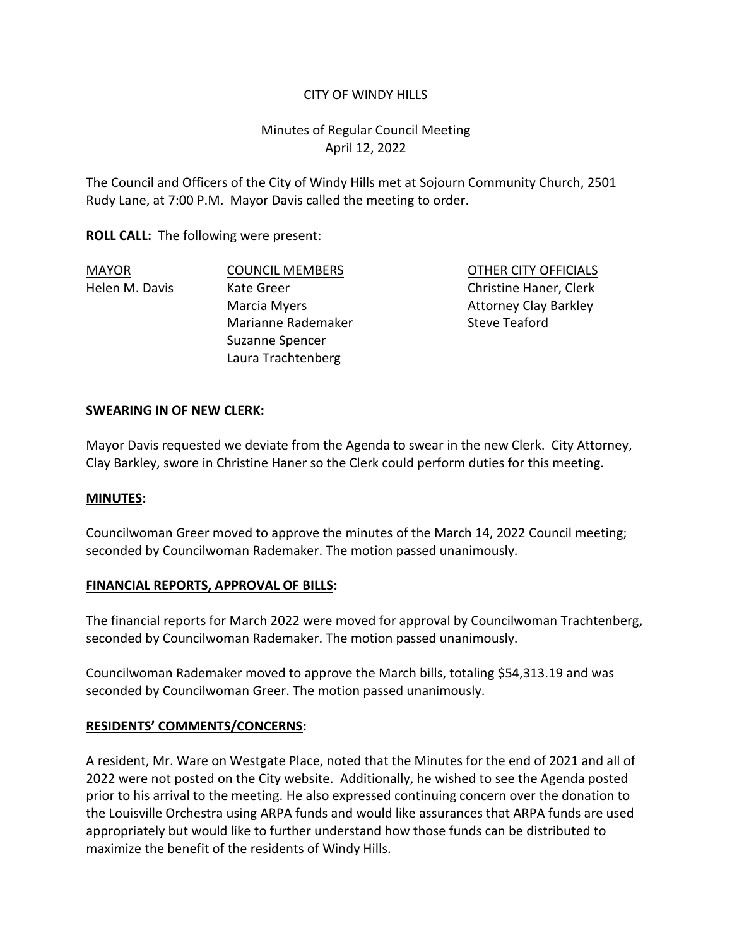## CITY OF WINDY HILLS

# Minutes of Regular Council Meeting April 12, 2022

The Council and Officers of the City of Windy Hills met at Sojourn Community Church, 2501 Rudy Lane, at 7:00 P.M. Mayor Davis called the meeting to order.

**ROLL CALL:** The following were present:

Marianne Rademaker Steve Teaford Suzanne Spencer Laura Trachtenberg

MAYOR COUNCIL MEMBERS OTHER CITY OFFICIALS Helen M. Davis Christine Kate Greer Christine Haner, Clerk Marcia Myers **Attorney Clay Barkley** 

### **SWEARING IN OF NEW CLERK:**

Mayor Davis requested we deviate from the Agenda to swear in the new Clerk. City Attorney, Clay Barkley, swore in Christine Haner so the Clerk could perform duties for this meeting.

### **MINUTES:**

Councilwoman Greer moved to approve the minutes of the March 14, 2022 Council meeting; seconded by Councilwoman Rademaker. The motion passed unanimously.

### **FINANCIAL REPORTS, APPROVAL OF BILLS:**

The financial reports for March 2022 were moved for approval by Councilwoman Trachtenberg, seconded by Councilwoman Rademaker. The motion passed unanimously.

Councilwoman Rademaker moved to approve the March bills, totaling \$54,313.19 and was seconded by Councilwoman Greer. The motion passed unanimously.

### **RESIDENTS' COMMENTS/CONCERNS:**

A resident, Mr. Ware on Westgate Place, noted that the Minutes for the end of 2021 and all of 2022 were not posted on the City website. Additionally, he wished to see the Agenda posted prior to his arrival to the meeting. He also expressed continuing concern over the donation to the Louisville Orchestra using ARPA funds and would like assurances that ARPA funds are used appropriately but would like to further understand how those funds can be distributed to maximize the benefit of the residents of Windy Hills.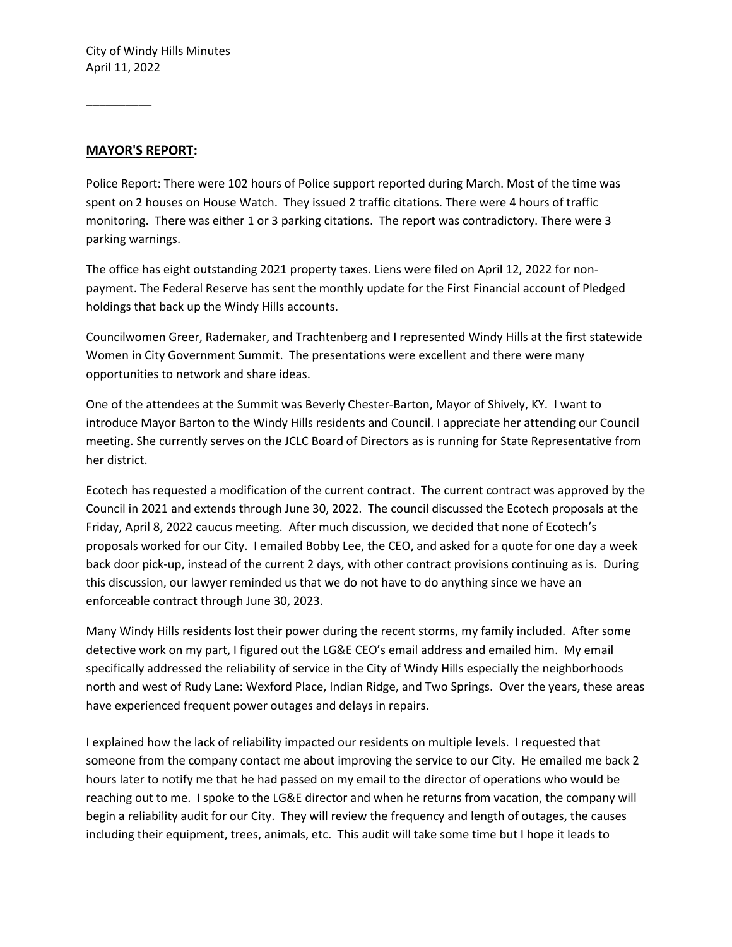#### **MAYOR'S REPORT:**

\_\_\_\_\_\_\_\_\_\_

Police Report: There were 102 hours of Police support reported during March. Most of the time was spent on 2 houses on House Watch. They issued 2 traffic citations. There were 4 hours of traffic monitoring. There was either 1 or 3 parking citations. The report was contradictory. There were 3 parking warnings.

The office has eight outstanding 2021 property taxes. Liens were filed on April 12, 2022 for nonpayment. The Federal Reserve has sent the monthly update for the First Financial account of Pledged holdings that back up the Windy Hills accounts.

Councilwomen Greer, Rademaker, and Trachtenberg and I represented Windy Hills at the first statewide Women in City Government Summit. The presentations were excellent and there were many opportunities to network and share ideas.

One of the attendees at the Summit was Beverly Chester-Barton, Mayor of Shively, KY. I want to introduce Mayor Barton to the Windy Hills residents and Council. I appreciate her attending our Council meeting. She currently serves on the JCLC Board of Directors as is running for State Representative from her district.

Ecotech has requested a modification of the current contract. The current contract was approved by the Council in 2021 and extends through June 30, 2022. The council discussed the Ecotech proposals at the Friday, April 8, 2022 caucus meeting. After much discussion, we decided that none of Ecotech's proposals worked for our City. I emailed Bobby Lee, the CEO, and asked for a quote for one day a week back door pick-up, instead of the current 2 days, with other contract provisions continuing as is. During this discussion, our lawyer reminded us that we do not have to do anything since we have an enforceable contract through June 30, 2023.

Many Windy Hills residents lost their power during the recent storms, my family included. After some detective work on my part, I figured out the LG&E CEO's email address and emailed him. My email specifically addressed the reliability of service in the City of Windy Hills especially the neighborhoods north and west of Rudy Lane: Wexford Place, Indian Ridge, and Two Springs. Over the years, these areas have experienced frequent power outages and delays in repairs.

I explained how the lack of reliability impacted our residents on multiple levels. I requested that someone from the company contact me about improving the service to our City. He emailed me back 2 hours later to notify me that he had passed on my email to the director of operations who would be reaching out to me. I spoke to the LG&E director and when he returns from vacation, the company will begin a reliability audit for our City. They will review the frequency and length of outages, the causes including their equipment, trees, animals, etc. This audit will take some time but I hope it leads to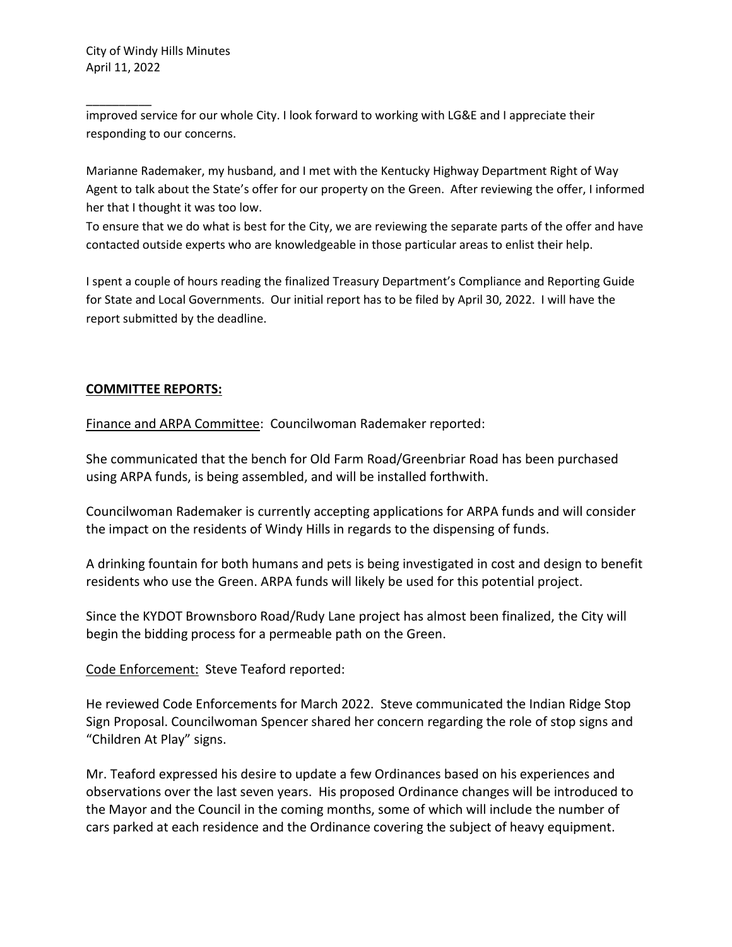\_\_\_\_\_\_\_\_\_\_ improved service for our whole City. I look forward to working with LG&E and I appreciate their responding to our concerns.

Marianne Rademaker, my husband, and I met with the Kentucky Highway Department Right of Way Agent to talk about the State's offer for our property on the Green. After reviewing the offer, I informed her that I thought it was too low.

To ensure that we do what is best for the City, we are reviewing the separate parts of the offer and have contacted outside experts who are knowledgeable in those particular areas to enlist their help.

I spent a couple of hours reading the finalized Treasury Department's Compliance and Reporting Guide for State and Local Governments. Our initial report has to be filed by April 30, 2022. I will have the report submitted by the deadline.

## **COMMITTEE REPORTS:**

Finance and ARPA Committee: Councilwoman Rademaker reported:

She communicated that the bench for Old Farm Road/Greenbriar Road has been purchased using ARPA funds, is being assembled, and will be installed forthwith.

Councilwoman Rademaker is currently accepting applications for ARPA funds and will consider the impact on the residents of Windy Hills in regards to the dispensing of funds.

A drinking fountain for both humans and pets is being investigated in cost and design to benefit residents who use the Green. ARPA funds will likely be used for this potential project.

Since the KYDOT Brownsboro Road/Rudy Lane project has almost been finalized, the City will begin the bidding process for a permeable path on the Green.

### Code Enforcement: Steve Teaford reported:

He reviewed Code Enforcements for March 2022. Steve communicated the Indian Ridge Stop Sign Proposal. Councilwoman Spencer shared her concern regarding the role of stop signs and "Children At Play" signs.

Mr. Teaford expressed his desire to update a few Ordinances based on his experiences and observations over the last seven years. His proposed Ordinance changes will be introduced to the Mayor and the Council in the coming months, some of which will include the number of cars parked at each residence and the Ordinance covering the subject of heavy equipment.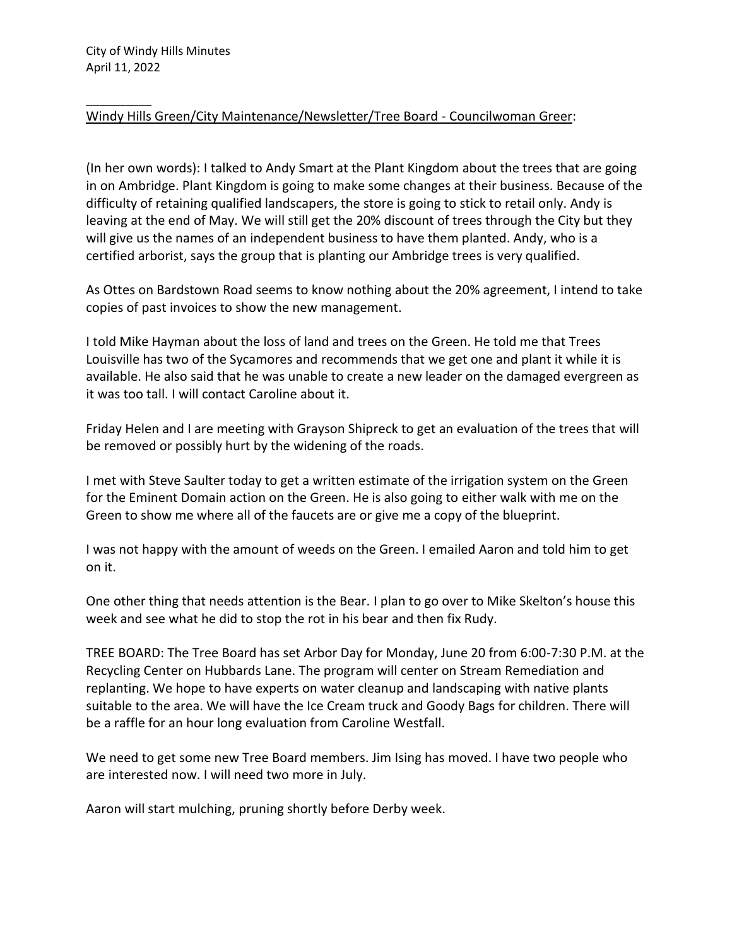#### \_\_\_\_\_\_\_\_\_\_ Windy Hills Green/City Maintenance/Newsletter/Tree Board - Councilwoman Greer:

(In her own words): I talked to Andy Smart at the Plant Kingdom about the trees that are going in on Ambridge. Plant Kingdom is going to make some changes at their business. Because of the difficulty of retaining qualified landscapers, the store is going to stick to retail only. Andy is leaving at the end of May. We will still get the 20% discount of trees through the City but they will give us the names of an independent business to have them planted. Andy, who is a certified arborist, says the group that is planting our Ambridge trees is very qualified.

As Ottes on Bardstown Road seems to know nothing about the 20% agreement, I intend to take copies of past invoices to show the new management.

I told Mike Hayman about the loss of land and trees on the Green. He told me that Trees Louisville has two of the Sycamores and recommends that we get one and plant it while it is available. He also said that he was unable to create a new leader on the damaged evergreen as it was too tall. I will contact Caroline about it.

Friday Helen and I are meeting with Grayson Shipreck to get an evaluation of the trees that will be removed or possibly hurt by the widening of the roads.

I met with Steve Saulter today to get a written estimate of the irrigation system on the Green for the Eminent Domain action on the Green. He is also going to either walk with me on the Green to show me where all of the faucets are or give me a copy of the blueprint.

I was not happy with the amount of weeds on the Green. I emailed Aaron and told him to get on it.

One other thing that needs attention is the Bear. I plan to go over to Mike Skelton's house this week and see what he did to stop the rot in his bear and then fix Rudy.

TREE BOARD: The Tree Board has set Arbor Day for Monday, June 20 from 6:00-7:30 P.M. at the Recycling Center on Hubbards Lane. The program will center on Stream Remediation and replanting. We hope to have experts on water cleanup and landscaping with native plants suitable to the area. We will have the Ice Cream truck and Goody Bags for children. There will be a raffle for an hour long evaluation from Caroline Westfall.

We need to get some new Tree Board members. Jim Ising has moved. I have two people who are interested now. I will need two more in July.

Aaron will start mulching, pruning shortly before Derby week.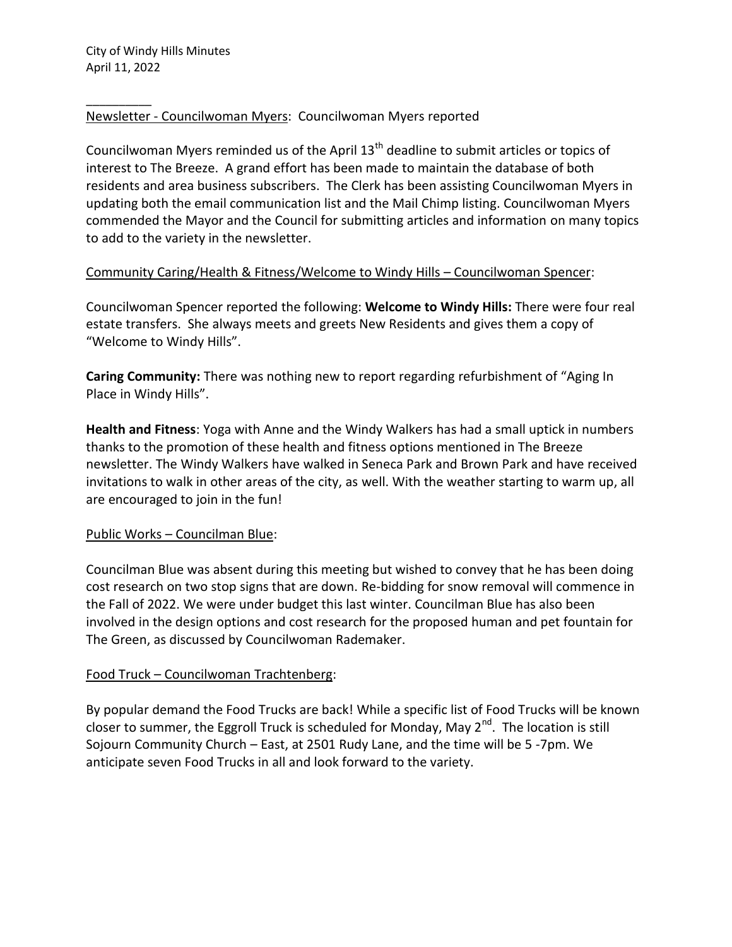\_\_\_\_\_\_\_\_\_\_

# Newsletter - Councilwoman Myers: Councilwoman Myers reported

Councilwoman Myers reminded us of the April  $13<sup>th</sup>$  deadline to submit articles or topics of interest to The Breeze. A grand effort has been made to maintain the database of both residents and area business subscribers. The Clerk has been assisting Councilwoman Myers in updating both the email communication list and the Mail Chimp listing. Councilwoman Myers commended the Mayor and the Council for submitting articles and information on many topics to add to the variety in the newsletter.

# Community Caring/Health & Fitness/Welcome to Windy Hills – Councilwoman Spencer:

Councilwoman Spencer reported the following: **Welcome to Windy Hills:** There were four real estate transfers. She always meets and greets New Residents and gives them a copy of "Welcome to Windy Hills".

**Caring Community:** There was nothing new to report regarding refurbishment of "Aging In Place in Windy Hills".

**Health and Fitness**: Yoga with Anne and the Windy Walkers has had a small uptick in numbers thanks to the promotion of these health and fitness options mentioned in The Breeze newsletter. The Windy Walkers have walked in Seneca Park and Brown Park and have received invitations to walk in other areas of the city, as well. With the weather starting to warm up, all are encouraged to join in the fun!

### Public Works – Councilman Blue:

Councilman Blue was absent during this meeting but wished to convey that he has been doing cost research on two stop signs that are down. Re-bidding for snow removal will commence in the Fall of 2022. We were under budget this last winter. Councilman Blue has also been involved in the design options and cost research for the proposed human and pet fountain for The Green, as discussed by Councilwoman Rademaker.

# Food Truck – Councilwoman Trachtenberg:

By popular demand the Food Trucks are back! While a specific list of Food Trucks will be known closer to summer, the Eggroll Truck is scheduled for Monday, May 2<sup>nd</sup>. The location is still Sojourn Community Church – East, at 2501 Rudy Lane, and the time will be 5 -7pm. We anticipate seven Food Trucks in all and look forward to the variety.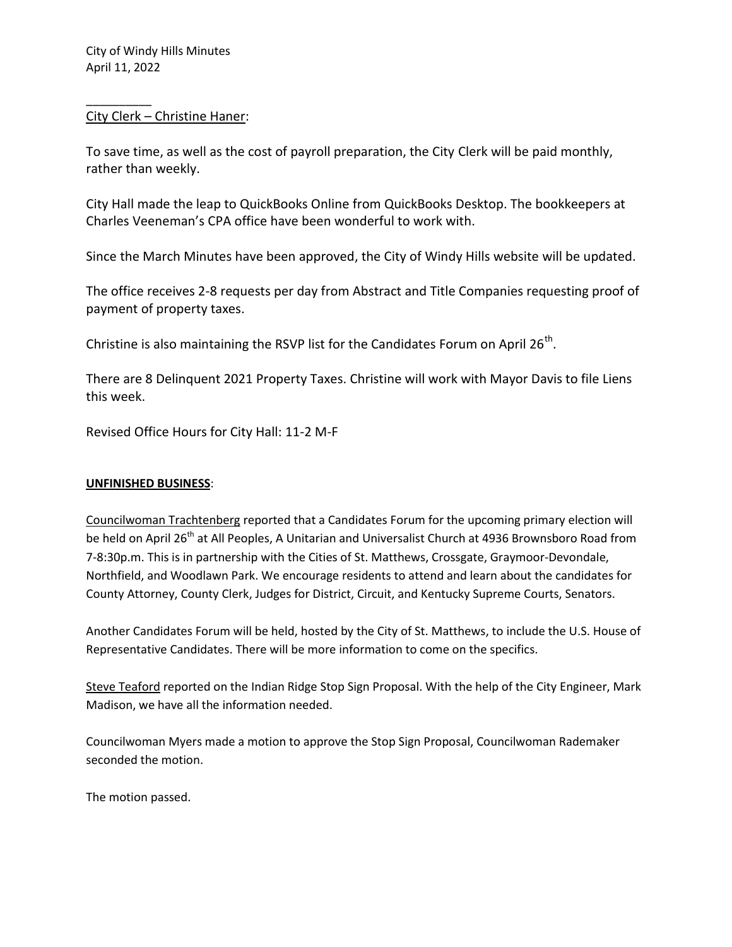\_\_\_\_\_\_\_\_\_\_

## City Clerk – Christine Haner:

To save time, as well as the cost of payroll preparation, the City Clerk will be paid monthly, rather than weekly.

City Hall made the leap to QuickBooks Online from QuickBooks Desktop. The bookkeepers at Charles Veeneman's CPA office have been wonderful to work with.

Since the March Minutes have been approved, the City of Windy Hills website will be updated.

The office receives 2-8 requests per day from Abstract and Title Companies requesting proof of payment of property taxes.

Christine is also maintaining the RSVP list for the Candidates Forum on April 26<sup>th</sup>.

There are 8 Delinquent 2021 Property Taxes. Christine will work with Mayor Davis to file Liens this week.

Revised Office Hours for City Hall: 11-2 M-F

### **UNFINISHED BUSINESS**:

Councilwoman Trachtenberg reported that a Candidates Forum for the upcoming primary election will be held on April 26<sup>th</sup> at All Peoples, A Unitarian and Universalist Church at 4936 Brownsboro Road from 7-8:30p.m. This is in partnership with the Cities of St. Matthews, Crossgate, Graymoor-Devondale, Northfield, and Woodlawn Park. We encourage residents to attend and learn about the candidates for County Attorney, County Clerk, Judges for District, Circuit, and Kentucky Supreme Courts, Senators.

Another Candidates Forum will be held, hosted by the City of St. Matthews, to include the U.S. House of Representative Candidates. There will be more information to come on the specifics.

Steve Teaford reported on the Indian Ridge Stop Sign Proposal. With the help of the City Engineer, Mark Madison, we have all the information needed.

Councilwoman Myers made a motion to approve the Stop Sign Proposal, Councilwoman Rademaker seconded the motion.

The motion passed.